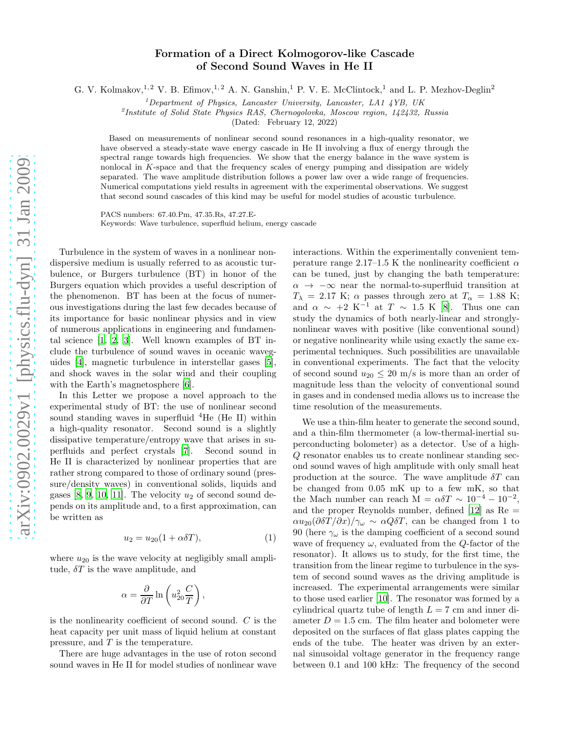## Formation of a Direct Kolmogorov-like Cascade of Second Sound Waves in He II

G. V. Kolmakov,<sup>1,2</sup> V. B. Efimov,<sup>1,2</sup> A. N. Ganshin,<sup>1</sup> P. V. E. McClintock,<sup>1</sup> and L. P. Mezhov-Deglin<sup>2</sup>

<sup>1</sup>Department of Physics, Lancaster University, Lancaster, LA1  $4YB$ , UK

2 Institute of Solid State Physics RAS, Chernogolovka, Moscow region, 142432, Russia

(Dated: February 12, 2022)

Based on measurements of nonlinear second sound resonances in a high-quality resonator, we have observed a steady-state wave energy cascade in He II involving a flux of energy through the spectral range towards high frequencies. We show that the energy balance in the wave system is nonlocal in K-space and that the frequency scales of energy pumping and dissipation are widely separated. The wave amplitude distribution follows a power law over a wide range of frequencies. Numerical computations yield results in agreement with the experimental observations. We suggest that second sound cascades of this kind may be useful for model studies of acoustic turbulence.

PACS numbers: 67.40.Pm, 47.35.Rs, 47.27.E-Keywords: Wave turbulence, superfluid helium, energy cascade

Turbulence in the system of waves in a nonlinear nondispersive medium is usually referred to as acoustic turbulence, or Burgers turbulence (BT) in honor of the Burgers equation which provides a useful description of the phenomenon. BT has been at the focus of numerous investigations during the last few decades because of its importance for basic nonlinear physics and in view of numerous applications in engineering and fundamental science [\[1](#page-3-0), [2,](#page-3-1) [3](#page-3-2)]. Well known examples of BT include the turbulence of sound waves in oceanic waveguides [\[4\]](#page-3-3), magnetic turbulence in interstellar gases [\[5\]](#page-3-4), and shock waves in the solar wind and their coupling with the Earth's magnetosphere [\[6\]](#page-3-5).

In this Letter we propose a novel approach to the experimental study of BT: the use of nonlinear second sound standing waves in superfluid  ${}^{4}$ He (He II) within a high-quality resonator. Second sound is a slightly dissipative temperature/entropy wave that arises in superfluids and perfect crystals [\[7](#page-3-6)]. Second sound in He II is characterized by nonlinear properties that are rather strong compared to those of ordinary sound (pressure/density waves) in conventional solids, liquids and gases  $[8, 9, 10, 11]$  $[8, 9, 10, 11]$  $[8, 9, 10, 11]$  $[8, 9, 10, 11]$  $[8, 9, 10, 11]$ . The velocity  $u_2$  of second sound depends on its amplitude and, to a first approximation, can be written as

$$
u_2 = u_{20}(1 + \alpha \delta T), \tag{1}
$$

where  $u_{20}$  is the wave velocity at negligibly small amplitude,  $\delta T$  is the wave amplitude, and

$$
\alpha = \frac{\partial}{\partial T} \ln \left( u_{20}^2 \frac{C}{T} \right),
$$

is the nonlinearity coefficient of second sound. C is the heat capacity per unit mass of liquid helium at constant pressure, and  $T$  is the temperature.

There are huge advantages in the use of roton second sound waves in He II for model studies of nonlinear wave interactions. Within the experimentally convenient temperature range 2.17–1.5 K the nonlinearity coefficient  $\alpha$ can be tuned, just by changing the bath temperature:  $\alpha \rightarrow -\infty$  near the normal-to-superfluid transition at  $T_{\lambda}$  = 2.17 K;  $\alpha$  passes through zero at  $T_{\alpha}$  = 1.88 K; and  $\alpha \sim +2 K^{-1}$  at  $T \sim 1.5 K [8]$  $T \sim 1.5 K [8]$ . Thus one can study the dynamics of both nearly-linear and stronglynonlinear waves with positive (like conventional sound) or negative nonlinearity while using exactly the same experimental techniques. Such possibilities are unavailable in conventional experiments. The fact that the velocity of second sound  $u_{20} \leq 20$  m/s is more than an order of magnitude less than the velocity of conventional sound in gases and in condensed media allows us to increase the time resolution of the measurements.

We use a thin-film heater to generate the second sound, and a thin-film thermometer (a low-thermal-inertial superconducting bolometer) as a detector. Use of a high-Q resonator enables us to create nonlinear standing second sound waves of high amplitude with only small heat production at the source. The wave amplitude  $\delta T$  can be changed from 0.05 mK up to a few mK, so that the Mach number can reach  $\overline{M} = \alpha \delta T \sim 10^{-4} - 10^{-2}$ , and the proper Reynolds number, defined [\[12](#page-3-11)] as  $Re =$  $\alpha u_{20}(\partial \delta T/\partial x)/\gamma_{\omega} \sim \alpha Q \delta T$ , can be changed from 1 to 90 (here  $\gamma_{\omega}$  is the damping coefficient of a second sound wave of frequency  $\omega$ , evaluated from the Q-factor of the resonator). It allows us to study, for the first time, the transition from the linear regime to turbulence in the system of second sound waves as the driving amplitude is increased. The experimental arrangements were similar to those used earlier [\[10](#page-3-9)]. The resonator was formed by a cylindrical quartz tube of length  $L = 7$  cm and inner diameter  $D = 1.5$  cm. The film heater and bolometer were deposited on the surfaces of flat glass plates capping the ends of the tube. The heater was driven by an external sinusoidal voltage generator in the frequency range between 0.1 and 100 kHz: The frequency of the second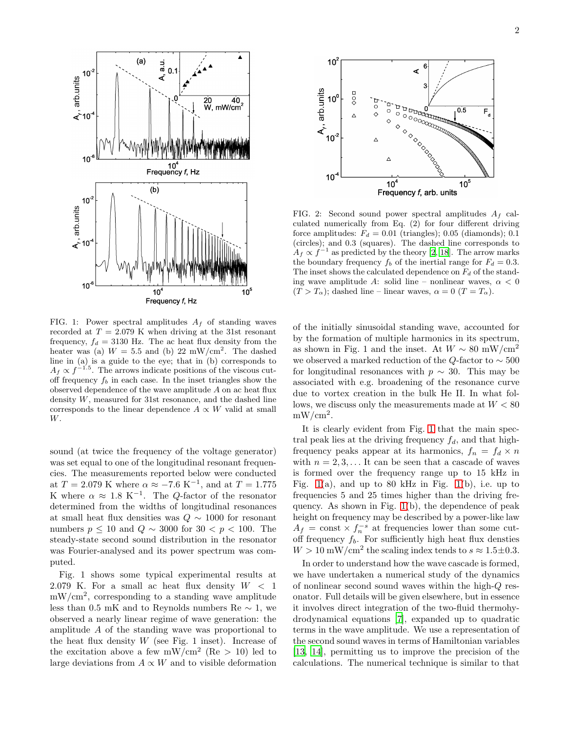

<span id="page-1-0"></span>FIG. 1: Power spectral amplitudes  $A_f$  of standing waves recorded at  $T = 2.079$  K when driving at the 31st resonant frequency,  $f_d = 3130$  Hz. The ac heat flux density from the heater was (a)  $W = 5.5$  and (b) 22 mW/cm<sup>2</sup>. The dashed line in (a) is a guide to the eye; that in (b) corresponds to  $A_f \propto f^{-1.5}$ . The arrows indicate positions of the viscous cutoff frequency  $f_b$  in each case. In the inset triangles show the observed dependence of the wave amplitude A on ac heat flux density W, measured for 31st resonance, and the dashed line corresponds to the linear dependence  $A \propto W$  valid at small W.

sound (at twice the frequency of the voltage generator) was set equal to one of the longitudinal resonant frequencies. The measurements reported below were conducted at  $T = 2.079$  K where  $\alpha \approx -7.6$  K<sup>-1</sup>, and at  $T = 1.775$ K where  $\alpha \approx 1.8 \text{ K}^{-1}$ . The *Q*-factor of the resonator determined from the widths of longitudinal resonances at small heat flux densities was  $Q \sim 1000$  for resonant numbers  $p \le 10$  and  $Q \sim 3000$  for  $30 < p < 100$ . The steady-state second sound distribution in the resonator was Fourier-analysed and its power spectrum was computed.

Fig. 1 shows some typical experimental results at 2.079 K. For a small ac heat flux density  $W < 1$  $mW/cm<sup>2</sup>$ , corresponding to a standing wave amplitude less than 0.5 mK and to Reynolds numbers Re  $\sim$  1, we observed a nearly linear regime of wave generation: the amplitude A of the standing wave was proportional to the heat flux density  $W$  (see Fig. 1 inset). Increase of the excitation above a few  $mW/cm^2$  (Re  $> 10$ ) led to large deviations from  $A \propto W$  and to visible deformation



<span id="page-1-1"></span>FIG. 2: Second sound power spectral amplitudes  $A_f$  calculated numerically from Eq. (2) for four different driving force amplitudes:  $F_d = 0.01$  (triangles); 0.05 (diamonds); 0.1 (circles); and 0.3 (squares). The dashed line corresponds to  $A_f \propto f^{-1}$  as predicted by the theory [\[2](#page-3-1), [18](#page-3-12)]. The arrow marks the boundary frequency  $f_b$  of the inertial range for  $F_d = 0.3$ . The inset shows the calculated dependence on  $F_d$  of the standing wave amplitude A: solid line – nonlinear waves,  $\alpha < 0$  $(T > T_\alpha)$ ; dashed line – linear waves,  $\alpha = 0$   $(T = T_\alpha)$ .

of the initially sinusoidal standing wave, accounted for by the formation of multiple harmonics in its spectrum, as shown in Fig. 1 and the inset. At  $W \sim 80$  mW/cm<sup>2</sup> we observed a marked reduction of the Q-factor to  $\sim 500$ for longitudinal resonances with  $p \sim 30$ . This may be associated with e.g. broadening of the resonance curve due to vortex creation in the bulk He II. In what follows, we discuss only the measurements made at  $W < 80$  $mW/cm<sup>2</sup>$ .

It is clearly evident from Fig. [1](#page-1-0) that the main spectral peak lies at the driving frequency  $f_d$ , and that highfrequency peaks appear at its harmonics,  $f_n = f_d \times n$ with  $n = 2, 3, \ldots$  It can be seen that a cascade of waves is formed over the frequency range up to 15 kHz in Fig. [1\(](#page-1-0)a), and up to 80 kHz in Fig. [1\(](#page-1-0)b), i.e. up to frequencies 5 and 25 times higher than the driving frequency. As shown in Fig. [1\(](#page-1-0)b), the dependence of peak height on frequency may be described by a power-like law  $A_f$  = const  $\times f_n^{-s}$  at frequencies lower than some cutoff frequency  $f_b$ . For sufficiently high heat flux densties  $W > 10$  mW/cm<sup>2</sup> the scaling index tends to  $s \approx 1.5 \pm 0.3$ .

In order to understand how the wave cascade is formed, we have undertaken a numerical study of the dynamics of nonlinear second sound waves within the high-Q resonator. Full details will be given elsewhere, but in essence it involves direct integration of the two-fluid thermohydrodynamical equations [\[7\]](#page-3-6), expanded up to quadratic terms in the wave amplitude. We use a representation of the second sound waves in terms of Hamiltonian variables [\[13,](#page-3-13) [14](#page-3-14)], permitting us to improve the precision of the calculations. The numerical technique is similar to that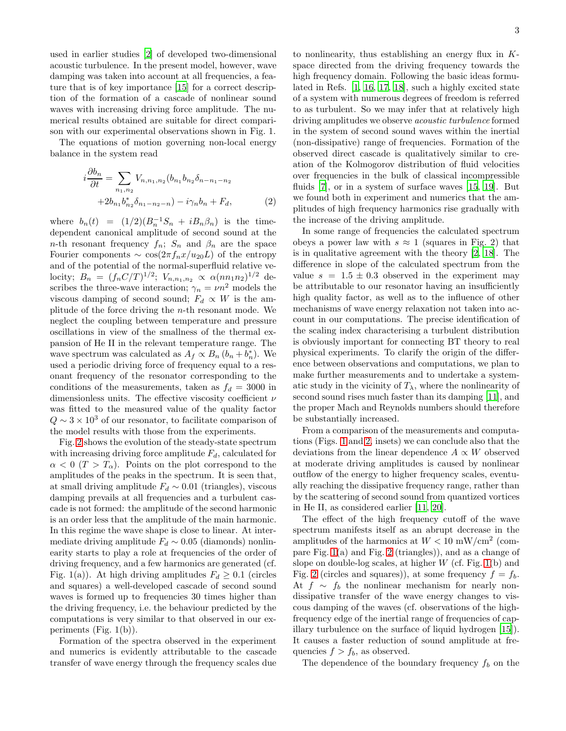used in earlier studies [\[2\]](#page-3-1) of developed two-dimensional acoustic turbulence. In the present model, however, wave damping was taken into account at all frequencies, a feature that is of key importance [\[15\]](#page-3-15) for a correct description of the formation of a cascade of nonlinear sound waves with increasing driving force amplitude. The numerical results obtained are suitable for direct comparison with our experimental observations shown in Fig. 1.

The equations of motion governing non-local energy balance in the system read

$$
i\frac{\partial b_n}{\partial t} = \sum_{n_1, n_2} V_{n, n_1, n_2}(b_{n_1}b_{n_2}\delta_{n - n_1 - n_2} + 2b_{n_1}b_{n_2}^*\delta_{n_1 - n_2 - n}) - i\gamma_n b_n + F_d,
$$
 (2)

where  $b_n(t) = (1/2)(B_n^{-1}S_n + iB_n\beta_n)$  is the timedependent canonical amplitude of second sound at the n-th resonant frequency  $f_n$ ;  $S_n$  and  $\beta_n$  are the space Fourier components  $\sim \cos(2\pi f_n x/u_{20}L)$  of the entropy and of the potential of the normal-superfluid relative velocity;  $B_n = (f_n C/T)^{1/2}$ ;  $V_{n,n_1,n_2} \propto \alpha (nn_1 n_2)^{1/2}$  describes the three-wave interaction;  $\gamma_n = \nu n^2$  models the viscous damping of second sound;  $F_d \propto W$  is the amplitude of the force driving the n-th resonant mode. We neglect the coupling between temperature and pressure oscillations in view of the smallness of the thermal expansion of He II in the relevant temperature range. The wave spectrum was calculated as  $A_f \propto B_n (b_n + b_n^*)$ . We used a periodic driving force of frequency equal to a resonant frequency of the resonator corresponding to the conditions of the measurements, taken as  $f_d = 3000$  in dimensionless units. The effective viscosity coefficient  $\nu$ was fitted to the measured value of the quality factor  $Q \sim 3 \times 10^3$  of our resonator, to facilitate comparison of the model results with those from the experiments.

Fig. [2](#page-1-1) shows the evolution of the steady-state spectrum with increasing driving force amplitude  $F_d$ , calculated for  $\alpha < 0$  (T > T<sub>α</sub>). Points on the plot correspond to the amplitudes of the peaks in the spectrum. It is seen that, at small driving amplitude  $F_d \sim 0.01$  (triangles), viscous damping prevails at all frequencies and a turbulent cascade is not formed: the amplitude of the second harmonic is an order less that the amplitude of the main harmonic. In this regime the wave shape is close to linear. At intermediate driving amplitude  $F_d \sim 0.05$  (diamonds) nonlinearity starts to play a role at frequencies of the order of driving frequency, and a few harmonics are generated (cf. Fig. 1(a)). At high driving amplitudes  $F_d \geq 0.1$  (circles and squares) a well-developed cascade of second sound waves is formed up to frequencies 30 times higher than the driving frequency, i.e. the behaviour predicted by the computations is very similar to that observed in our experiments (Fig. 1(b)).

Formation of the spectra observed in the experiment and numerics is evidently attributable to the cascade transfer of wave energy through the frequency scales due

to nonlinearity, thus establishing an energy flux in  $K$ space directed from the driving frequency towards the high frequency domain. Following the basic ideas formulated in Refs. [\[1,](#page-3-0) [16](#page-3-16), [17](#page-3-17), [18\]](#page-3-12), such a highly excited state of a system with numerous degrees of freedom is referred to as turbulent. So we may infer that at relatively high driving amplitudes we observe acoustic turbulence formed in the system of second sound waves within the inertial (non-dissipative) range of frequencies. Formation of the observed direct cascade is qualitatively similar to creation of the Kolmogorov distribution of fluid velocities over frequencies in the bulk of classical incompressible fluids [\[7\]](#page-3-6), or in a system of surface waves [\[15,](#page-3-15) [19\]](#page-3-18). But we found both in experiment and numerics that the amplitudes of high frequency harmonics rise gradually with the increase of the driving amplitude.

In some range of frequencies the calculated spectrum obeys a power law with  $s \approx 1$  (squares in Fig. 2) that is in qualitative agreement with the theory [\[2](#page-3-1), [18\]](#page-3-12). The difference in slope of the calculated spectrum from the value  $s = 1.5 \pm 0.3$  observed in the experiment may be attributable to our resonator having an insufficiently high quality factor, as well as to the influence of other mechanisms of wave energy relaxation not taken into account in our computations. The precise identification of the scaling index characterising a turbulent distribution is obviously important for connecting BT theory to real physical experiments. To clarify the origin of the difference between observations and computations, we plan to make further measurements and to undertake a systematic study in the vicinity of  $T_{\lambda}$ , where the nonlinearity of second sound rises much faster than its damping [\[11\]](#page-3-10), and the proper Mach and Reynolds numbers should therefore be substantially increased.

From a comparison of the measurements and computations (Figs. [1](#page-1-0) and [2,](#page-1-1) insets) we can conclude also that the deviations from the linear dependence  $A \propto W$  observed at moderate driving amplitudes is caused by nonlinear outflow of the energy to higher frequency scales, eventually reaching the dissipative frequency range, rather than by the scattering of second sound from quantized vortices in He II, as considered earlier [\[11,](#page-3-10) [20\]](#page-3-19).

The effect of the high frequency cutoff of the wave spectrum manifests itself as an abrupt decrease in the amplitudes of the harmonics at  $W < 10$  mW/cm<sup>2</sup> (compare Fig. [1\(](#page-1-0)a) and Fig. [2](#page-1-1) (triangles)), and as a change of slope on double-log scales, at higher  $W$  (cf. Fig. [1\(](#page-1-0)b) and Fig. [2](#page-1-1) (circles and squares)), at some frequency  $f = f_b$ . At  $f \sim f_b$  the nonlinear mechanism for nearly nondissipative transfer of the wave energy changes to viscous damping of the waves (cf. observations of the highfrequency edge of the inertial range of frequencies of capillary turbulence on the surface of liquid hydrogen [\[15\]](#page-3-15)). It causes a faster reduction of sound amplitude at frequencies  $f > f_b$ , as observed.

The dependence of the boundary frequency  $f_b$  on the